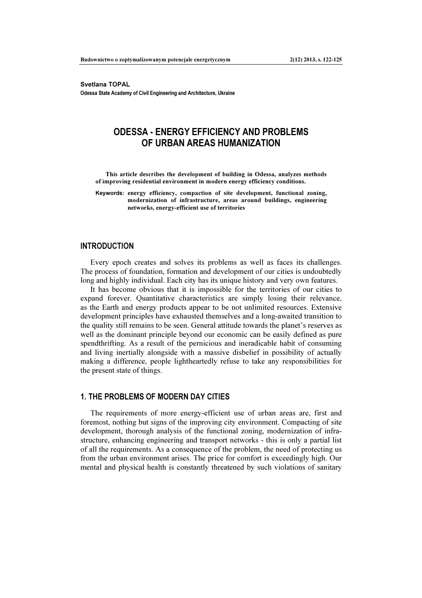Svetlana TOPAL Odessa State Academy of Civil Engineering and Architecture, Ukraine

# ODESSA - ENERGY EFFICIENCY AND PROBLEMS OF URBAN AREAS HUMANIZATION

This article describes the development of building in Odessa, analyzes methods of improving residential environment in modern energy efficiency conditions.

Keywords: energy efficiency, compaction of site development, functional zoning, modernization of infrastructure, areas around buildings, engineering networks, energy-efficient use of territories

## INTRODUCTION

Every epoch creates and solves its problems as well as faces its challenges. The process of foundation, formation and development of our cities is undoubtedly long and highly individual. Each city has its unique history and very own features.

It has become obvious that it is impossible for the territories of our cities to expand forever. Quantitative characteristics are simply losing their relevance, as the Earth and energy products appear to be not unlimited resources. Extensive development principles have exhausted themselves and a long-awaited transition to the quality still remains to be seen. General attitude towards the planet's reserves as well as the dominant principle beyond our economic can be easily defined as pure spendthrifting. As a result of the pernicious and ineradicable habit of consuming and living inertially alongside with a massive disbelief in possibility of actually making a difference, people lightheartedly refuse to take any responsibilities for the present state of things.

# 1. THE PROBLEMS OF MODERN DAY CITIES

The requirements of more energy-efficient use of urban areas are, first and foremost, nothing but signs of the improving city environment. Compacting of site development, thorough analysis of the functional zoning, modernization of infrastructure, enhancing engineering and transport networks - this is only a partial list of all the requirements. As a consequence of the problem, the need of protecting us from the urban environment arises. The price for comfort is exceedingly high. Our mental and physical health is constantly threatened by such violations of sanitary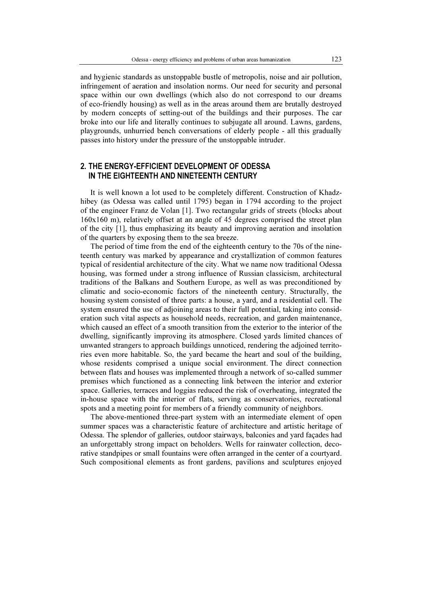and hygienic standards as unstoppable bustle of metropolis, noise and air pollution, infringement of aeration and insolation norms. Our need for security and personal space within our own dwellings (which also do not correspond to our dreams of eco-friendly housing) as well as in the areas around them are brutally destroyed by modern concepts of setting-out of the buildings and their purposes. The car broke into our life and literally continues to subjugate all around. Lawns, gardens, playgrounds, unhurried bench conversations of elderly people - all this gradually passes into history under the pressure of the unstoppable intruder.

# 2. THE ENERGY-EFFICIENT DEVELOPMENT OF ODESSA IN THE EIGHTEENTH AND NINETEENTH CENTURY

It is well known a lot used to be completely different. Construction of Khadzhibey (as Odessa was called until 1795) began in 1794 according to the project of the engineer Franz de Volan [1]. Two rectangular grids of streets (blocks about 160x160 m), relatively offset at an angle of 45 degrees comprised the street plan of the city [1], thus emphasizing its beauty and improving aeration and insolation of the quarters by exposing them to the sea breeze.

The period of time from the end of the eighteenth century to the 70s of the nineteenth century was marked by appearance and crystallization of common features typical of residential architecture of the city. What we name now traditional Odessa housing, was formed under a strong influence of Russian classicism, architectural traditions of the Balkans and Southern Europe, as well as was preconditioned by climatic and socio-economic factors of the nineteenth century. Structurally, the housing system consisted of three parts: a house, a yard, and a residential cell. The system ensured the use of adjoining areas to their full potential, taking into consideration such vital aspects as household needs, recreation, and garden maintenance, which caused an effect of a smooth transition from the exterior to the interior of the dwelling, significantly improving its atmosphere. Closed yards limited chances of unwanted strangers to approach buildings unnoticed, rendering the adjoined territories even more habitable. So, the yard became the heart and soul of the building, whose residents comprised a unique social environment. The direct connection between flats and houses was implemented through a network of so-called summer premises which functioned as a connecting link between the interior and exterior space. Galleries, terraces and loggias reduced the risk of overheating, integrated the in-house space with the interior of flats, serving as conservatories, recreational spots and a meeting point for members of a friendly community of neighbors.

The above-mentioned three-part system with an intermediate element of open summer spaces was a characteristic feature of architecture and artistic heritage of Odessa. The splendor of galleries, outdoor stairways, balconies and yard façades had an unforgettably strong impact on beholders. Wells for rainwater collection, decorative standpipes or small fountains were often arranged in the center of a courtyard. Such compositional elements as front gardens, pavilions and sculptures enjoyed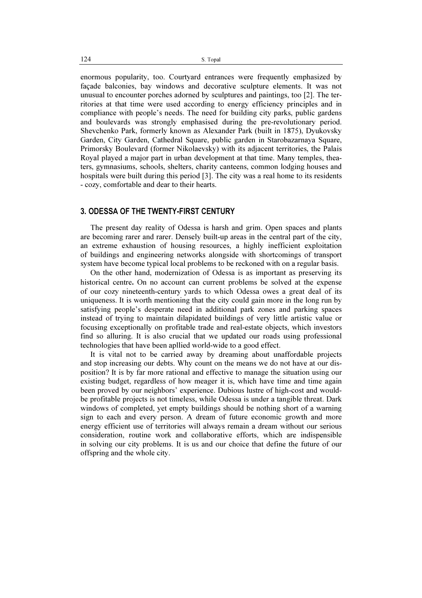enormous popularity, too. Courtyard entrances were frequently emphasized by façade balconies, bay windows and decorative sculpture elements. It was not unusual to encounter porches adorned by sculptures and paintings, too [2]. The territories at that time were used according to energy efficiency principles and in compliance with people's needs. The need for building city parks, public gardens and boulevards was strongly emphasised during the pre-revolutionary period. Shevchenko Park, formerly known as Alexander Park (built in 1875), Dyukovsky Garden, City Garden, Cathedral Square, public garden in Starobazarnaya Square, Primorsky Boulevard (former Nikolaevsky) with its adjacent territories, the Palais Royal played a major part in urban development at that time. Many temples, theaters, gymnasiums, schools, shelters, charity canteens, common lodging houses and hospitals were built during this period [3]. The city was a real home to its residents - cozy, comfortable and dear to their hearts.

### 3. ODESSA OF THE TWENTY-FIRST CENTURY

The present day reality of Odessa is harsh and grim. Open spaces and plants are becoming rarer and rarer. Densely built-up areas in the central part of the city, an extreme exhaustion of housing resources, a highly inefficient exploitation of buildings and engineering networks alongside with shortcomings of transport system have become typical local problems to be reckoned with on a regular basis.

On the other hand, modernization of Odessa is as important as preserving its historical centre. On no account can current problems be solved at the expense of our cozy nineteenth-century yards to which Odessa owes a great deal of its uniqueness. It is worth mentioning that the city could gain more in the long run by satisfying people's desperate need in additional park zones and parking spaces instead of trying to maintain dilapidated buildings of very little artistic value or focusing exceptionally on profitable trade and real-estate objects, which investors find so alluring. It is also crucial that we updated our roads using professional technologies that have been apllied world-wide to a good effect.

It is vital not to be carried away by dreaming about unaffordable projects and stop increasing our debts. Why count on the means we do not have at our disposition? It is by far more rational and effective to manage the situation using our existing budget, regardless of how meager it is, which have time and time again been proved by our neighbors' experience. Dubious lustre of high-cost and wouldbe profitable projects is not timeless, while Odessa is under a tangible threat. Dark windows of completed, yet empty buildings should be nothing short of a warning sign to each and every person. A dream of future economic growth and more energy efficient use of territories will always remain a dream without our serious consideration, routine work and collaborative efforts, which are indispensible in solving our city problems. It is us and our choice that define the future of our offspring and the whole city.